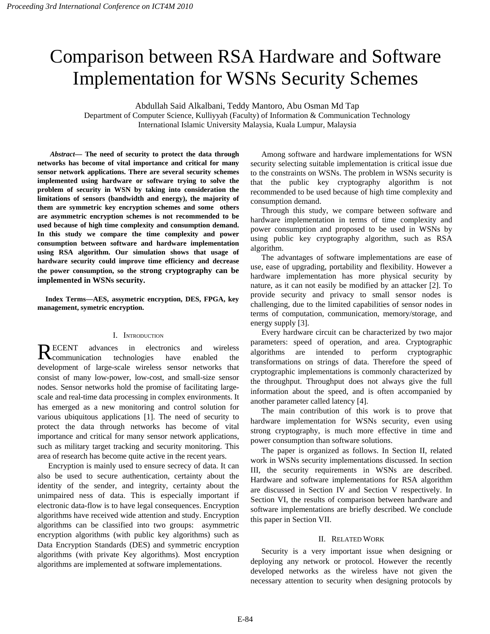# Comparison between RSA Hardware and Software Implementation for WSNs Security Schemes

Abdullah Said Alkalbani, Teddy Mantoro, Abu Osman Md Tap Department of Computer Science, Kulliyyah (Faculty) of Information & Communication Technology International Islamic University Malaysia, Kuala Lumpur, Malaysia

*Abstract***— The need of security to protect the data through networks has become of vital importance and critical for many sensor network applications. There are several security schemes implemented using hardware or software trying to solve the problem of security in WSN by taking into consideration the limitations of sensors (bandwidth and energy), the majority of them are symmetric key encryption schemes and some others are asymmetric encryption schemes is not recommended to be used because of high time complexity and consumption demand. In this study we compare the time complexity and power consumption between software and hardware implementation using RSA algorithm. Our simulation shows that usage of hardware security could improve time efficiency and decrease the power consumption, so the strong cryptography can be implemented in WSNs security.** 

**Index Terms—AES, assymetric encryption, DES, FPGA, key management, symetric encryption.** 

# I. INTRODUCTION

ECENT advances in electronics and wireless RECENT advances in electronics and wireless<br>
Recommunication technologies have enabled the development of large-scale wireless sensor networks that consist of many low-power, low-cost, and small-size sensor nodes. Sensor networks hold the promise of facilitating largescale and real-time data processing in complex environments. It has emerged as a new monitoring and control solution for various ubiquitous applications [1]. The need of security to protect the data through networks has become of vital importance and critical for many sensor network applications, such as military target tracking and security monitoring. This area of research has become quite active in the recent years.

Encryption is mainly used to ensure secrecy of data. It can also be used to secure authentication, certainty about the identity of the sender, and integrity, certainty about the unimpaired ness of data. This is especially important if electronic data-flow is to have legal consequences. Encryption algorithms have received wide attention and study. Encryption algorithms can be classified into two groups: asymmetric encryption algorithms (with public key algorithms) such as Data Encryption Standards (DES) and symmetric encryption algorithms (with private Key algorithms). Most encryption algorithms are implemented at software implementations.

Among software and hardware implementations for WSN security selecting suitable implementation is critical issue due to the constraints on WSNs. The problem in WSNs security is that the public key cryptography algorithm is not recommended to be used because of high time complexity and consumption demand.

Through this study, we compare between software and hardware implementation in terms of time complexity and power consumption and proposed to be used in WSNs by using public key cryptography algorithm, such as RSA algorithm.

The advantages of software implementations are ease of use, ease of upgrading, portability and flexibility. However a hardware implementation has more physical security by nature, as it can not easily be modified by an attacker [2]. To provide security and privacy to small sensor nodes is challenging, due to the limited capabilities of sensor nodes in terms of computation, communication, memory/storage, and energy supply [3].

Every hardware circuit can be characterized by two major parameters: speed of operation, and area. Cryptographic algorithms are intended to perform cryptographic transformations on strings of data. Therefore the speed of cryptographic implementations is commonly characterized by the throughput. Throughput does not always give the full information about the speed, and is often accompanied by another parameter called latency [4].

The main contribution of this work is to prove that hardware implementation for WSNs security, even using strong cryptography, is much more effective in time and power consumption than software solutions.

The paper is organized as follows. In Section II, related work in WSNs security implementations discussed. In section III, the security requirements in WSNs are described. Hardware and software implementations for RSA algorithm are discussed in Section IV and Section V respectively. In Section VI, the results of comparison between hardware and software implementations are briefly described. We conclude this paper in Section VII.

#### II. RELATED WORK

Security is a very important issue when designing or deploying any network or protocol. However the recently developed networks as the wireless have not given the necessary attention to security when designing protocols by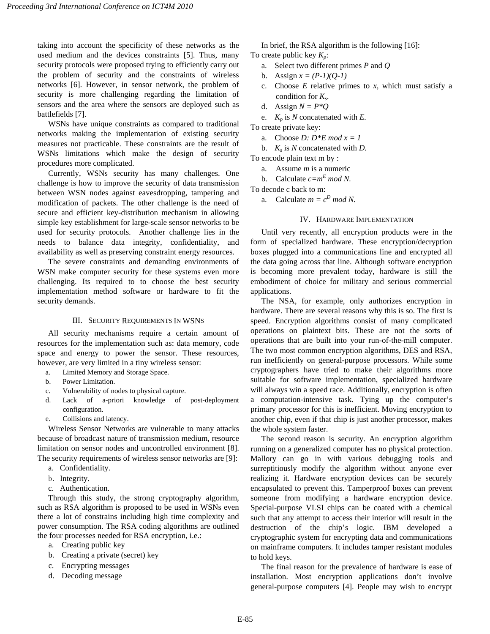taking into account the specificity of these networks as the used medium and the devices constraints [5]. Thus, many security protocols were proposed trying to efficiently carry out the problem of security and the constraints of wireless networks [6]. However, in sensor network, the problem of security is more challenging regarding the limitation of sensors and the area where the sensors are deployed such as battlefields [7].

WSNs have unique constraints as compared to traditional networks making the implementation of existing security measures not practicable. These constraints are the result of WSNs limitations which make the design of security procedures more complicated.

Currently, WSNs security has many challenges. One challenge is how to improve the security of data transmission between WSN nodes against eavesdropping, tampering and modification of packets. The other challenge is the need of secure and efficient key-distribution mechanism in allowing simple key establishment for large-scale sensor networks to be used for security protocols. Another challenge lies in the needs to balance data integrity, confidentiality, and availability as well as preserving constraint energy resources.

The severe constraints and demanding environments of WSN make computer security for these systems even more challenging. Its required to to choose the best security implementation method software or hardware to fit the security demands.

#### III. SECURITY REQUIREMENTS IN WSNS

All security mechanisms require a certain amount of resources for the implementation such as: data memory, code space and energy to power the sensor. These resources, however, are very limited in a tiny wireless sensor:

- a. Limited Memory and Storage Space.
- b. Power Limitation.
- c. Vulnerability of nodes to physical capture.
- d. Lack of a-priori knowledge of post-deployment configuration.
- e. Collisions and latency.

Wireless Sensor Networks are vulnerable to many attacks because of broadcast nature of transmission medium, resource limitation on sensor nodes and uncontrolled environment [8]. The security requirements of wireless sensor networks are [9]:

- a. Confidentiality.
- b. Integrity.
- c. Authentication.

Through this study, the strong cryptography algorithm, such as RSA algorithm is proposed to be used in WSNs even there a lot of constrains including high time complexity and power consumption. The RSA coding algorithms are outlined the four processes needed for RSA encryption, i.e.:

- a. Creating public key
- b. Creating a private (secret) key
- c. Encrypting messages
- d. Decoding message

In brief, the RSA algorithm is the following [16]: To create public key  $K_n$ :

- a. Select two different primes *P* and *Q*
- b. Assign  $x = (P-1)(Q-1)$
- c. Choose *E* relative primes to *x*, which must satisfy a condition for *Ks*.
- d. Assign  $N = P^*Q$
- e. *Kp* is *N* concatenated with *E.*
- To create private key:
	- a. Choose *D:*  $D * E \mod x = 1$

b. *Ks* is *N* concatenated with *D.*

To encode plain text m by :

- a. Assume *m* is a numeric
- b. Calculate  $c = m^E \mod N$ .

To decode c back to m:

a. Calculate  $m = c^D \mod N$ .

# IV. HARDWARE IMPLEMENTATION

Until very recently, all encryption products were in the form of specialized hardware. These encryption/decryption boxes plugged into a communications line and encrypted all the data going across that line. Although software encryption is becoming more prevalent today, hardware is still the embodiment of choice for military and serious commercial applications.

The NSA, for example, only authorizes encryption in hardware. There are several reasons why this is so. The first is speed. Encryption algorithms consist of many complicated operations on plaintext bits. These are not the sorts of operations that are built into your run-of-the-mill computer. The two most common encryption algorithms, DES and RSA, run inefficiently on general-purpose processors. While some cryptographers have tried to make their algorithms more suitable for software implementation, specialized hardware will always win a speed race. Additionally, encryption is often a computation-intensive task. Tying up the computer's primary processor for this is inefficient. Moving encryption to another chip, even if that chip is just another processor, makes the whole system faster.

The second reason is security. An encryption algorithm running on a generalized computer has no physical protection. Mallory can go in with various debugging tools and surreptitiously modify the algorithm without anyone ever realizing it. Hardware encryption devices can be securely encapsulated to prevent this. Tamperproof boxes can prevent someone from modifying a hardware encryption device. Special-purpose VLSI chips can be coated with a chemical such that any attempt to access their interior will result in the destruction of the chip's logic. IBM developed a cryptographic system for encrypting data and communications on mainframe computers. It includes tamper resistant modules to hold keys.

The final reason for the prevalence of hardware is ease of installation. Most encryption applications don't involve general-purpose computers [4]. People may wish to encrypt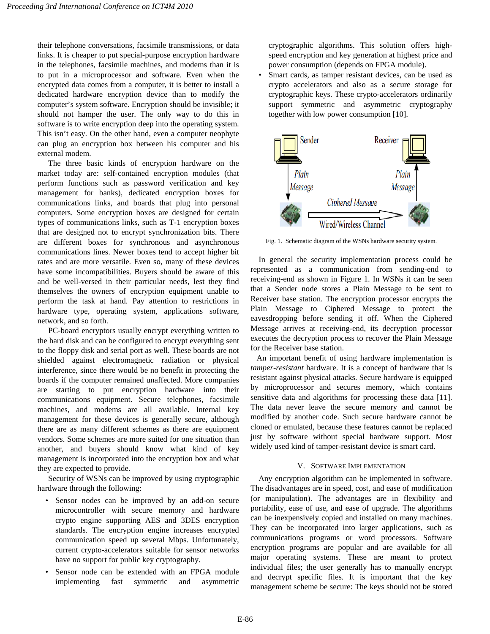their telephone conversations, facsimile transmissions, or data links. It is cheaper to put special-purpose encryption hardware in the telephones, facsimile machines, and modems than it is to put in a microprocessor and software. Even when the encrypted data comes from a computer, it is better to install a dedicated hardware encryption device than to modify the computer's system software. Encryption should be invisible; it should not hamper the user. The only way to do this in software is to write encryption deep into the operating system. This isn't easy. On the other hand, even a computer neophyte can plug an encryption box between his computer and his external modem.

The three basic kinds of encryption hardware on the market today are: self-contained encryption modules (that perform functions such as password verification and key management for banks), dedicated encryption boxes for communications links, and boards that plug into personal computers. Some encryption boxes are designed for certain types of communications links, such as T-1 encryption boxes that are designed not to encrypt synchronization bits. There are different boxes for synchronous and asynchronous communications lines. Newer boxes tend to accept higher bit rates and are more versatile. Even so, many of these devices have some incompatibilities. Buyers should be aware of this and be well-versed in their particular needs, lest they find themselves the owners of encryption equipment unable to perform the task at hand. Pay attention to restrictions in hardware type, operating system, applications software, network, and so forth.

PC-board encryptors usually encrypt everything written to the hard disk and can be configured to encrypt everything sent to the floppy disk and serial port as well. These boards are not shielded against electromagnetic radiation or physical interference, since there would be no benefit in protecting the boards if the computer remained unaffected. More companies are starting to put encryption hardware into their communications equipment. Secure telephones, facsimile machines, and modems are all available. Internal key management for these devices is generally secure, although there are as many different schemes as there are equipment vendors. Some schemes are more suited for one situation than another, and buyers should know what kind of key management is incorporated into the encryption box and what they are expected to provide.

Security of WSNs can be improved by using cryptographic hardware through the following:

- Sensor nodes can be improved by an add-on secure microcontroller with secure memory and hardware crypto engine supporting AES and 3DES encryption standards. The encryption engine increases encrypted communication speed up several Mbps. Unfortunately, current crypto-accelerators suitable for sensor networks have no support for public key cryptography.
- Sensor node can be extended with an FPGA module implementing fast symmetric and asymmetric

cryptographic algorithms. This solution offers highspeed encryption and key generation at highest price and power consumption (depends on FPGA module).

Smart cards, as tamper resistant devices, can be used as crypto accelerators and also as a secure storage for cryptographic keys. These crypto-accelerators ordinarily support symmetric and asymmetric cryptography together with low power consumption [10].



Fig. 1. Schematic diagram of the WSNs hardware security system.

In general the security implementation process could be represented as a communication from sending-end to receiving-end as shown in Figure 1. In WSNs it can be seen that a Sender node stores a Plain Message to be sent to Receiver base station. The encryption processor encrypts the Plain Message to Ciphered Message to protect the eavesdropping before sending it off. When the Ciphered Message arrives at receiving-end, its decryption processor executes the decryption process to recover the Plain Message for the Receiver base station.

 An important benefit of using hardware implementation is *tamper-resistant* hardware. It is a concept of hardware that is resistant against physical attacks. Secure hardware is equipped by microprocessor and secures memory, which contains sensitive data and algorithms for processing these data [11]. The data never leave the secure memory and cannot be modified by another code. Such secure hardware cannot be cloned or emulated, because these features cannot be replaced just by software without special hardware support. Most widely used kind of tamper-resistant device is smart card.

# V. SOFTWARE IMPLEMENTATION

Any encryption algorithm can be implemented in software. The disadvantages are in speed, cost, and ease of modification (or manipulation). The advantages are in flexibility and portability, ease of use, and ease of upgrade. The algorithms can be inexpensively copied and installed on many machines. They can be incorporated into larger applications, such as communications programs or word processors. Software encryption programs are popular and are available for all major operating systems. These are meant to protect individual files; the user generally has to manually encrypt and decrypt specific files. It is important that the key management scheme be secure: The keys should not be stored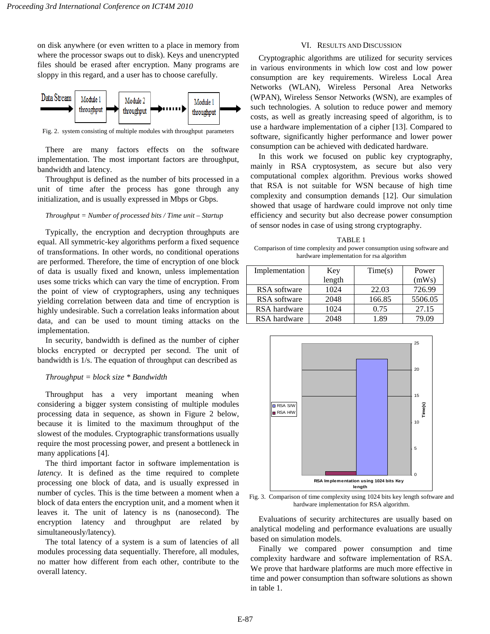on disk anywhere (or even written to a place in memory from where the processor swaps out to disk). Keys and unencrypted files should be erased after encryption. Many programs are sloppy in this regard, and a user has to choose carefully.



Fig. 2. system consisting of multiple modules with throughput parameters

There are many factors effects on the software implementation. The most important factors are throughput, bandwidth and latency.

Throughput is defined as the number of bits processed in a unit of time after the process has gone through any initialization, and is usually expressed in Mbps or Gbps.

#### *Throughput = Number of processed bits / Time unit – Startup*

Typically, the encryption and decryption throughputs are equal. All symmetric-key algorithms perform a fixed sequence of transformations. In other words, no conditional operations are performed. Therefore, the time of encryption of one block of data is usually fixed and known, unless implementation uses some tricks which can vary the time of encryption. From the point of view of cryptographers, using any techniques yielding correlation between data and time of encryption is highly undesirable. Such a correlation leaks information about data, and can be used to mount timing attacks on the implementation.

In security, bandwidth is defined as the number of cipher blocks encrypted or decrypted per second. The unit of bandwidth is 1/s. The equation of throughput can described as

#### *Throughput = block size \* Bandwidth*

 Throughput has a very important meaning when considering a bigger system consisting of multiple modules processing data in sequence, as shown in Figure 2 below, because it is limited to the maximum throughput of the slowest of the modules. Cryptographic transformations usually require the most processing power, and present a bottleneck in many applications [4].

The third important factor in software implementation is *latency*. It is defined as the time required to complete processing one block of data, and is usually expressed in number of cycles. This is the time between a moment when a block of data enters the encryption unit, and a moment when it leaves it. The unit of latency is ns (nanosecond). The encryption latency and throughput are related by simultaneously/latency).

The total latency of a system is a sum of latencies of all modules processing data sequentially. Therefore, all modules, no matter how different from each other, contribute to the overall latency.

### VI. RESULTS AND DISCUSSION

Cryptographic algorithms are utilized for security services in various environments in which low cost and low power consumption are key requirements. Wireless Local Area Networks (WLAN), Wireless Personal Area Networks (WPAN), Wireless Sensor Networks (WSN), are examples of such technologies. A solution to reduce power and memory costs, as well as greatly increasing speed of algorithm, is to use a hardware implementation of a cipher [13]. Compared to software, significantly higher performance and lower power consumption can be achieved with dedicated hardware.

In this work we focused on public key cryptography, mainly in RSA cryptosystem, as secure but also very computational complex algorithm. Previous works showed that RSA is not suitable for WSN because of high time complexity and consumption demands [12]. Our simulation showed that usage of hardware could improve not only time efficiency and security but also decrease power consumption of sensor nodes in case of using strong cryptography.

| TABLE 1                                                                |
|------------------------------------------------------------------------|
| Comparison of time complexity and power consumption using software and |
| hardware implementation for rsa algorithm                              |

| Implementation | Key    | Time(s) | Power   |
|----------------|--------|---------|---------|
|                | length |         | (mWs)   |
| RSA software   | 1024   | 22.03   | 726.99  |
| RSA software   | 2048   | 166.85  | 5506.05 |
| RSA hardware   | 1024   | 0.75    | 27.15   |
| RSA hardware   | 2048   | 1.89    | 79.09   |



Fig. 3. Comparison of time complexity using 1024 bits key length software and hardware implementation for RSA algorithm.

Evaluations of security architectures are usually based on analytical modeling and performance evaluations are usually based on simulation models.

Finally we compared power consumption and time complexity hardware and software implementation of RSA. We prove that hardware platforms are much more effective in time and power consumption than software solutions as shown in table 1.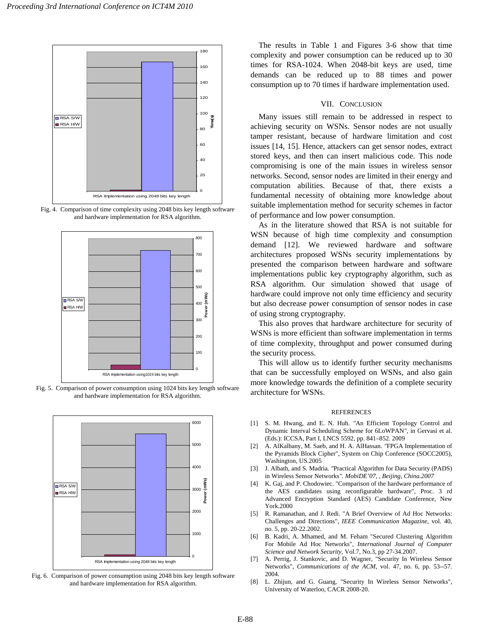

Fig. 4. Comparison of time complexity using 2048 bits key length software and hardware implementation for RSA algorithm.



Fig. 5. Comparison of power consumption using 1024 bits key length software and hardware implementation for RSA algorithm.



Fig. 6. Comparison of power consumption using 2048 bits key length software and hardware implementation for RSA algorithm.

The results in Table 1 and Figures 3-6 show that time complexity and power consumption can be reduced up to 30 times for RSA-1024. When 2048-bit keys are used, time demands can be reduced up to 88 times and power consumption up to 70 times if hardware implementation used.

#### VII. CONCLUSION

Many issues still remain to be addressed in respect to achieving security on WSNs. Sensor nodes are not usually tamper resistant, because of hardware limitation and cost issues [14, 15]. Hence, attackers can get sensor nodes, extract stored keys, and then can insert malicious code. This node compromising is one of the main issues in wireless sensor networks. Second, sensor nodes are limited in their energy and computation abilities. Because of that, there exists a fundamental necessity of obtaining more knowledge about suitable implementation method for security schemes in factor of performance and low power consumption.

As in the literature showed that RSA is not suitable for WSN because of high time complexity and consumption demand [12]. We reviewed hardware and software architectures proposed WSNs security implementations by presented the comparison between hardware and software implementations public key cryptography algorithm, such as RSA algorithm. Our simulation showed that usage of hardware could improve not only time efficiency and security but also decrease power consumption of sensor nodes in case of using strong cryptography.

This also proves that hardware architecture for security of WSNs is more efficient than software implementation in terms of time complexity, throughput and power consumed during the security process.

This will allow us to identify further security mechanisms that can be successfully employed on WSNs, and also gain more knowledge towards the definition of a complete security architecture for WSNs.

#### REFERENCES

- [1] S. M. Hwang, and E. N. Huh. *"*An Efficient Topology Control and Dynamic Interval Scheduling Scheme for 6LoWPAN*"*, in Gervasi et al. (Eds.): ICCSA, Part I, LNCS 5592, pp. 841–852. 2009
- [2] A. AlKalbany, M. Saeb, and H. A. AlHassan. *"*FPGA Implementation of the Pyramids Block Cipher", System on Chip Conference (SOCC2005), Washington, US.2005
- [3] J. Albath, and S. Madria*. "*Practical Algorithm for Data Security (PADS) in Wireless Sensor Networks*". MobiDE'07, , Beijing, China.2007*
- [4] K. Gaj, and P. Chodowiec. "Comparison of the hardware performance of the AES candidates using reconfigurable hardware", Proc. 3 rd Advanced Encryption Standard (AES) Candidate Conference, New York.2000
- [5] R. Ramanathan, and J. Redi. "A Brief Overview of Ad Hoc Networks: Challenges and Directions", *IEEE Communication Magazine*, vol. 40, no. 5, pp. 20-22.2002.
- [6] B. Kadri, A. Mhamed, and M. Feham "Secured Clustering Algorithm For Mobile Ad Hoc Networks", *International Journal of Computer Science and Network Security*, Vol.7, No.3, pp 27-34.2007.
- [7] A. Perrig, J. Stankovic, and D. Wagner, "Security In Wireless Sensor Networks", *Communications of the ACM*, vol. 47, no. 6, pp. 53--57. 2004.
- [8] L. Zhijun, and G. Guang, "Security In Wireless Sensor Networks", University of Waterloo, CACR 2008-20.